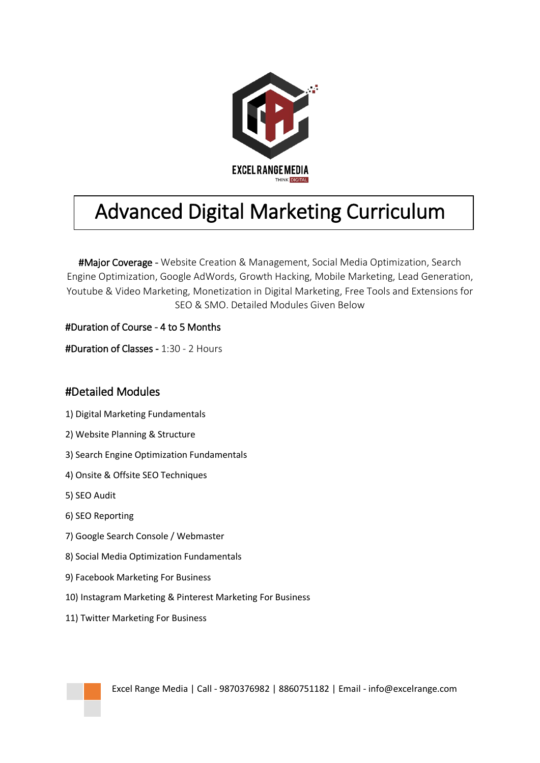

## Advanced Digital Marketing Curriculum

#Major Coverage - Website Creation & Management, Social Media Optimization, Search Engine Optimization, Google AdWords, Growth Hacking, Mobile Marketing, Lead Generation, Youtube & Video Marketing, Monetization in Digital Marketing, Free Tools and Extensions for SEO & SMO. Detailed Modules Given Below

#Duration of Course - 4 to 5 Months

#Duration of Classes - 1:30 - 2 Hours

## #Detailed Modules

- 1) Digital Marketing Fundamentals
- 2) Website Planning & Structure
- 3) Search Engine Optimization Fundamentals
- 4) Onsite & Offsite SEO Techniques
- 5) SEO Audit
- 6) SEO Reporting
- 7) Google Search Console / Webmaster
- 8) Social Media Optimization Fundamentals
- 9) Facebook Marketing For Business
- 10) Instagram Marketing & Pinterest Marketing For Business
- 11) Twitter Marketing For Business